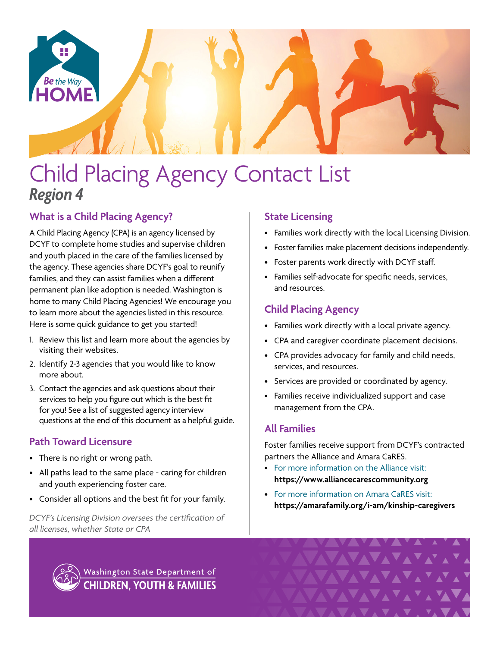

# Child Placing Agency Contact List *Region 4*

# **What is a Child Placing Agency?**

A Child Placing Agency (CPA) is an agency licensed by DCYF to complete home studies and supervise children and youth placed in the care of the families licensed by the agency. These agencies share DCYF's goal to reunify families, and they can assist families when a different permanent plan like adoption is needed. Washington is home to many Child Placing Agencies! We encourage you to learn more about the agencies listed in this resource. Here is some quick guidance to get you started!

- 1. Review this list and learn more about the agencies by visiting their websites.
- 2. Identify 2-3 agencies that you would like to know more about.
- 3. Contact the agencies and ask questions about their services to help you figure out which is the best fit for you! See a list of suggested agency interview questions at the end of this document as a helpful guide.

## **Path Toward Licensure**

- There is no right or wrong path.
- All paths lead to the same place caring for children and youth experiencing foster care.
- Consider all options and the best fit for your family.

*DCYF's Licensing Division oversees the certification of all licenses, whether State or CPA*

# **State Licensing**

- Families work directly with the local Licensing Division.
- Foster families make placement decisions independently.
- Foster parents work directly with DCYF staff.
- Families self-advocate for specific needs, services, and resources.

# **Child Placing Agency**

- Families work directly with a local private agency.
- CPA and caregiver coordinate placement decisions.
- CPA provides advocacy for family and child needs, services, and resources.
- Services are provided or coordinated by agency.
- Families receive individualized support and case management from the CPA.

## **All Families**

Foster families receive support from DCYF's contracted partners the Alliance and Amara CaRES.

- For more information on the Alliance visit: **<https://www.alliancecarescommunity.org>**
- For more information on Amara CaRES visit: **[https://amarafamily.org/i-am/kinship-caregivers](https://amarafamily.org/i-am/kinship-caregivers/)**

VAVAVAVA<sup>V</sup>



Washington State Department of **CHILDREN, YOUTH & FAMILIES**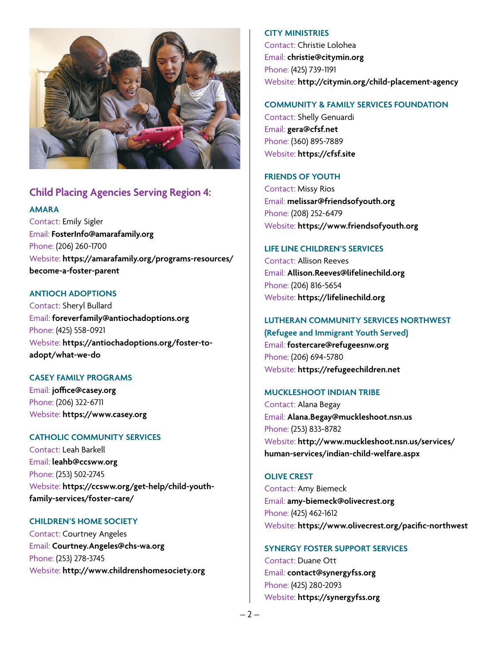

## **Child Placing Agencies Serving Region 4:**

#### **AMARA**

Contact: Emily Sigler Email: **[FosterInfo@amarafamily.org](mailto:FosterInfo%40amarafamily.org?subject=)** Phone: (206) 260-1700 Website: **[https://amarafamily.org/programs-resources/](https://amarafamily.org/programs-resources/become-a-foster-parent) [become-a-foster-parent](https://amarafamily.org/programs-resources/become-a-foster-parent)**

#### **ANTIOCH ADOPTIONS**

Contact: Sheryl Bullard Email: **[foreverfamily@antiochadoptions.org](mailto:foreverfamily%40antiochadoptions.org?subject=)** Phone: (425) 558-0921 Website: **[https://antiochadoptions.org/foster-to](https://antiochadoptions.org/foster-to-adopt/what-we-do)[adopt/what-we-do](https://antiochadoptions.org/foster-to-adopt/what-we-do)**

#### **CASEY FAMILY PROGRAMS**

Email: **[joffice@casey.org](mailto:joffice%40casey.org?subject=)** Phone: (206) 322-6711 Website: **[https://www.casey.org](https://www.casey.org/)**

#### **CATHOLIC COMMUNITY SERVICES**

Contact: Leah Barkell Email: **[leahb@ccsww.org](mailto:leahb%40ccsww.org?subject=)** Phone: (253) 502-2745 Website: **[https://ccsww.org/get-help/child-youth](https://ccsww.org/get-help/child-youth-family-services/foster-care/)[family-services/foster-care/](https://ccsww.org/get-help/child-youth-family-services/foster-care/)**

#### **CHILDREN'S HOME SOCIETY**

Contact: Courtney Angeles Email: **[Courtney.Angeles@chs-wa.org](mailto:Courtney.Angeles%40chs-wa.org?subject=)** Phone: (253) 278-3745 Website: **<http://www.childrenshomesociety.org>**

#### **CITY MINISTRIES**

Contact: Christie Lolohea Email: **[christie@citymin.org](mailto:christie%40citymin.org?subject=)** Phone: (425) 739-1191 Website: **<http://citymin.org/child-placement-agency>**

#### **COMMUNITY & FAMILY SERVICES FOUNDATION**

Contact: Shelly Genuardi Email: **[gera@cfsf.net](mailto:gera%40cfsf.net?subject=)** Phone: (360) 895-7889 Website: **<https://cfsf.site>**

#### **FRIENDS OF YOUTH**

Contact: Missy Rios Email: **[melissar@friendsofyouth.org](mailto:melissar%40friendsofyouth.org?subject=)** Phone: (208) 252-6479 Website: **<https://www.friendsofyouth.org>**

#### **LIFE LINE CHILDREN'S SERVICES**

Contact: Allison Reeves Email: **[Allison.Reeves@lifelinechild.org](mailto:Allison.Reeves%40lifelinechild.org?subject=)** Phone: (206) 816-5654 Website: **<https://lifelinechild.org>**

#### **LUTHERAN COMMUNITY SERVICES NORTHWEST**

**(Refugee and Immigrant Youth Served)** Email: **[fostercare@refugeesnw.org](mailto:fostercare%40refugeesnw.org?subject=)** Phone: (206) 694-5780 Website: **<https://refugeechildren.net>**

#### **MUCKLESHOOT INDIAN TRIBE**

Contact: Alana Begay Email: **[Alana.Begay@muckleshoot.nsn.us](mailto:Alana.Begay%40muckleshoot.nsn.us?subject=)** Phone: (253) 833-8782 Website: **[http://www.muckleshoot.nsn.us/services/](http://www.muckleshoot.nsn.us/services/human-services/indian-child-welfare.aspx) [human-services/indian-child-welfare.aspx](http://www.muckleshoot.nsn.us/services/human-services/indian-child-welfare.aspx)**

#### **OLIVE CREST**

Contact: Amy Biemeck Email: **[amy-biemeck@olivecrest.org](mailto:amy-biemeck%40olivecrest.org?subject=)** Phone: (425) 462-1612 Website: **<https://www.olivecrest.org/pacific-northwest>**

#### **SYNERGY FOSTER SUPPORT SERVICES**

Contact: Duane Ott Email: **[contact@synergyfss.org](mailto:contact%40synergyfss.org?subject=)** Phone: (425) 280-2093 Website: **<https://synergyfss.org>**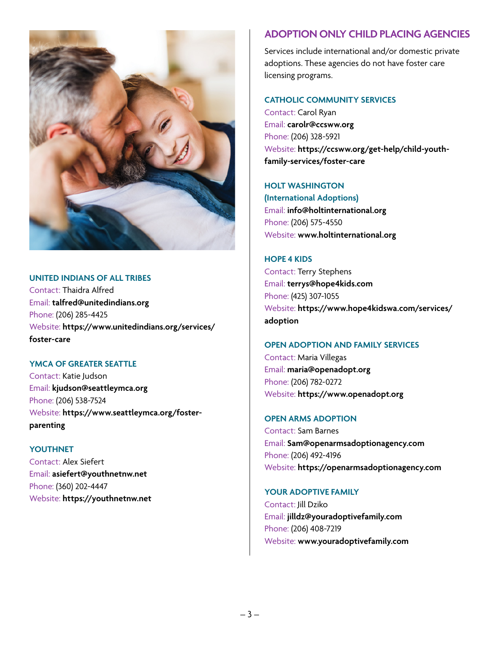

#### **UNITED INDIANS OF ALL TRIBES**

Contact: Thaidra Alfred Email: **[talfred@unitedindians.org](mailto:talfred%40unitedindians.org?subject=)** Phone: (206) 285-4425 Website: **[https://www.unitedindians.org/services/](https://www.unitedindians.org/services/foster-care) [foster-care](https://www.unitedindians.org/services/foster-care)**

#### **YMCA OF GREATER SEATTLE**

Contact: Katie Judson Email: **[kjudson@seattleymca.org](mailto:kjudson%40seattleymca.org?subject=)** Phone: (206) 538-7524 Website: **[https://www.seattleymca.org/foster](https://www.seattleymca.org/foster-parenting)[parenting](https://www.seattleymca.org/foster-parenting)**

#### **YOUTHNET**

Contact: Alex Siefert Email: **[asiefert@youthnetnw.net](mailto:asiefert%40youthnetnw.net?subject=)** Phone: (360) 202-4447 Website: **<https://youthnetnw.net>**

# **ADOPTION ONLY CHILD PLACING AGENCIES**

Services include international and/or domestic private adoptions. These agencies do not have foster care licensing programs.

### **CATHOLIC COMMUNITY SERVICES**

Contact: Carol Ryan Email: **[carolr@ccsww.org](mailto:carolr%40ccsww.org?subject=)** Phone: (206) 328-5921 Website: **[https://ccsww.org/get-help/child-youth](https://ccsww.org/get-help/child-youth-family-services/foster-care)[family-services/foster-care](https://ccsww.org/get-help/child-youth-family-services/foster-care)**

## **HOLT WASHINGTON**

**(International Adoptions)**  Email: **[info@holtinternational.org](mailto:info%40holtinternational.org?subject=)** Phone: (206) 575-4550 Website: **[www.holtinternational.org](http://www.holtinternational.org)**

**HOPE 4 KIDS** Contact: Terry Stephens Email: **[terrys@hope4kids.com](mailto:terrys%40hope4kids.com?subject=)** Phone: (425) 307-1055 Website: **[https://www.hope4kidswa.com/services/](https://www.hope4kidswa.com/services/adoption) [adoption](https://www.hope4kidswa.com/services/adoption)**

## **OPEN ADOPTION AND FAMILY SERVICES**

Contact: Maria Villegas Email: **[maria@openadopt.org](mailto:maria%40openadopt.org?subject=)** Phone: (206) 782-0272 Website: **<https://www.openadopt.org>**

## **OPEN ARMS ADOPTION**

Contact: Sam Barnes Email: **[Sam@openarmsadoptionagency.com](mailto:Sam%40openarmsadoptionagency.com?subject=)** Phone: (206) 492-4196 Website: **<https://openarmsadoptionagency.com>**

## **YOUR ADOPTIVE FAMILY**

Contact: Jill Dziko Email: **[jilldz@youradoptivefamily.com](mailto:jilldz%40youradoptivefamily.com?subject=)** Phone: (206) 408-7219 Website: **[www.youradoptivefamily.com](http://www.youradoptivefamily.com)**